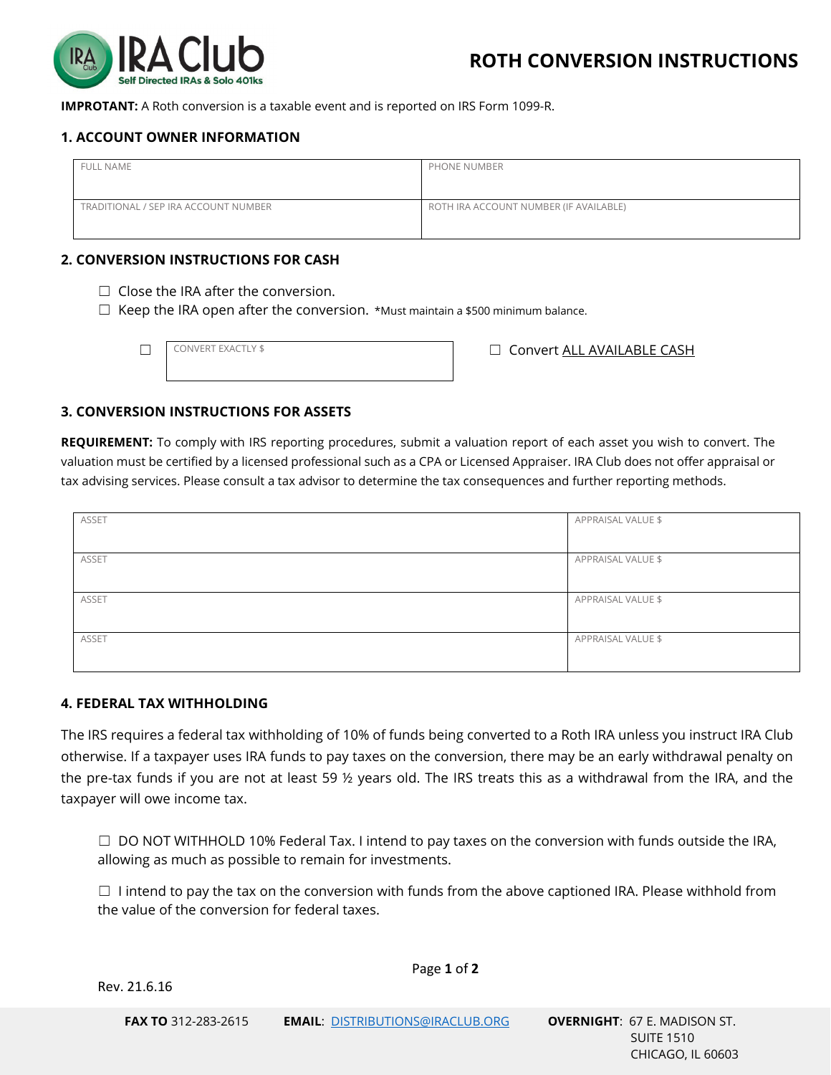

**IMPROTANT:** A Roth conversion is a taxable event and is reported on IRS Form 1099-R.

## **1. ACCOUNT OWNER INFORMATION**

| <b>FULL NAME</b>                     | PHONE NUMBER                           |
|--------------------------------------|----------------------------------------|
| TRADITIONAL / SEP IRA ACCOUNT NUMBER | ROTH IRA ACCOUNT NUMBER (IF AVAILABLE) |

### **2. CONVERSION INSTRUCTIONS FOR CASH**

- $\Box$  Close the IRA after the conversion.
- ☐ Keep the IRA open after the conversion. \*Must maintain a \$500 minimum balance.

CONVERT EXACTLY \$

□ CONVERT EXACTLY \$ □ CONVERT EXACTLY \$ □ CONVERT EXACTLY \$ □ CONVERT EXACTLY \$

### **3. CONVERSION INSTRUCTIONS FOR ASSETS**

**REQUIREMENT:** To comply with IRS reporting procedures, submit a valuation report of each asset you wish to convert. The valuation must be certified by a licensed professional such as a CPA or Licensed Appraiser. IRA Club does not offer appraisal or tax advising services. Please consult a tax advisor to determine the tax consequences and further reporting methods.

| ASSET | APPRAISAL VALUE \$ |
|-------|--------------------|
|       |                    |
|       |                    |
|       |                    |
| ASSET | APPRAISAL VALUE \$ |
|       |                    |
|       |                    |
|       |                    |
| ASSET | APPRAISAL VALUE \$ |
|       |                    |
|       |                    |
|       |                    |
| ASSET | APPRAISAL VALUE \$ |
|       |                    |
|       |                    |
|       |                    |

### **4. FEDERAL TAX WITHHOLDING**

The IRS requires a federal tax withholding of 10% of funds being converted to a Roth IRA unless you instruct IRA Club otherwise. If a taxpayer uses IRA funds to pay taxes on the conversion, there may be an early withdrawal penalty on the pre-tax funds if you are not at least 59 ½ years old. The IRS treats this as a withdrawal from the IRA, and the taxpayer will owe income tax.

 $\Box$  DO NOT WITHHOLD 10% Federal Tax. I intend to pay taxes on the conversion with funds outside the IRA, allowing as much as possible to remain for investments.

 $\Box$  I intend to pay the tax on the conversion with funds from the above captioned IRA. Please withhold from the value of the conversion for federal taxes.

Page **1** of **2**

Rev. 21.6.16